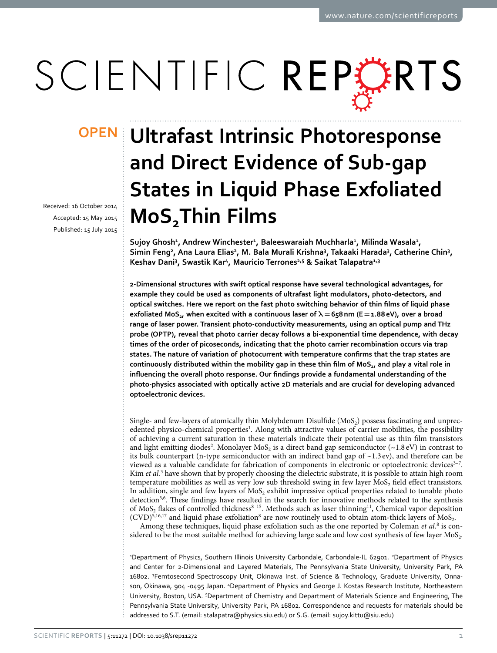# SCIENTIFIC REPERTS

Received: 16 October 2014 Accepted: 15 May 2015 Published: 15 July 2015

## **Ultrafast Intrinsic Photoresponse OPENand Direct Evidence of Sub-gap States in Liquid Phase Exfoliated MoS2Thin Films**

Sujoy Ghosh<sup>1</sup>, Andrew Winchester<sup>1</sup>, Baleeswaraiah Muchharla<sup>1</sup>, Milinda Wasala<sup>1</sup>, Simin Feng<sup>2</sup>, Ana Laura Elias<sup>2</sup>, M. Bala Murali Krishna<sup>3</sup>, Takaaki Harada<sup>3</sup>, Catherine Chin<sup>3</sup>, **Keshav Dani<sup>3</sup> , Swastik Kar<sup>4</sup> , Mauricio Terrones2,5 & Saikat Talapatra1,3**

**2-Dimensional structures with swift optical response have several technological advantages, for example they could be used as components of ultrafast light modulators, photo-detectors, and optical switches. Here we report on the fast photo switching behavior of thin films of liquid phase exfoliated MoS<sup>2</sup> , when excited with a continuous laser of λ= 658 nm (E = 1.88 eV), over a broad range of laser power. Transient photo-conductivity measurements, using an optical pump and THz probe (OPTP), reveal that photo carrier decay follows a bi-exponential time dependence, with decay times of the order of picoseconds, indicating that the photo carrier recombination occurs via trap states. The nature of variation of photocurrent with temperature confirms that the trap states are continuously distributed within the mobility gap in these thin film of MoS<sup>2</sup> , and play a vital role in influencing the overall photo response. Our findings provide a fundamental understanding of the photo-physics associated with optically active 2D materials and are crucial for developing advanced optoelectronic devices.**

Single- and few-layers of atomically thin Molybdenum Disulfide ( $MoS<sub>2</sub>$ ) possess fascinating and unprec-edented physico-chemical properties<sup>[1](#page-6-0)</sup>. Along with attractive values of carrier mobilities, the possibility of achieving a current saturation in these materials indicate their potential use as thin film transistors and light emitting diodes<sup>[2](#page-6-1)</sup>. Monolayer MoS<sub>2</sub> is a direct band gap semiconductor (~1.8 eV) in contrast to its bulk counterpart (n-type semiconductor with an indirect band gap of  $\sim$ 1.3 ev), and therefore can be viewed as a valuable candidate for fabrication of components in electronic or optoelectronic devices<sup>3-7</sup>. Kim et al.<sup>[3](#page-6-2)</sup> have shown that by properly choosing the dielectric substrate, it is possible to attain high room temperature mobilities as well as very low sub threshold swing in few layer  $\mathrm{Mo}_{2}$  field effect transistors. In addition, single and few layers of  $\text{Mo}_2$  exhibit impressive optical properties related to tunable photo detection<sup>[5](#page-6-3)[,6](#page-6-4)</sup>. These findings have resulted in the search for innovative methods related to the synthesis of  $MoS<sub>2</sub>$  flakes of controlled thickness<sup>8-15</sup>. Methods such as laser thinning<sup>[11](#page-7-0)</sup>, Chemical vapor deposition  $(CVD)^{5,16,17}$  $(CVD)^{5,16,17}$  $(CVD)^{5,16,17}$  $(CVD)^{5,16,17}$  $(CVD)^{5,16,17}$  $(CVD)^{5,16,17}$  $(CVD)^{5,16,17}$  and liquid phase exfoliation<sup>[8](#page-6-5)</sup> are now routinely used to obtain atom-thick layers of MoS<sub>2</sub>.

Among these techniques, liquid phase exfoliation such as the one reported by Coleman et al.<sup>[8](#page-6-5)</sup> is considered to be the most suitable method for achieving large scale and low cost synthesis of few layer  $Mo_{2}$ .

<sup>1</sup>Department of Physics, Southern Illinois University Carbondale, Carbondale-IL 62901. <sup>2</sup>Department of Physics and Center for 2-Dimensional and Layered Materials, The Pennsylvania State University, University Park, PA 16802. 3Femtosecond Spectroscopy Unit, Okinawa Inst. of Science & Technology, Graduate University, Onnason, Okinawa, 904 -0495 Japan. <sup>4</sup>Department of Physics and George J. Kostas Research Institute, Northeastern University, Boston, USA. <sup>5</sup>Department of Chemistry and Department of Materials Science and Engineering, The Pennsylvania State University, University Park, PA 16802. Correspondence and requests for materials should be addressed to S.T. (email: [stalapatra@physics.siu.edu](mailto:stalapatra@physics.siu.edu)) or S.G. (email: [sujoy.kittu@siu.edu](mailto:sujoy.kittu@siu.edu))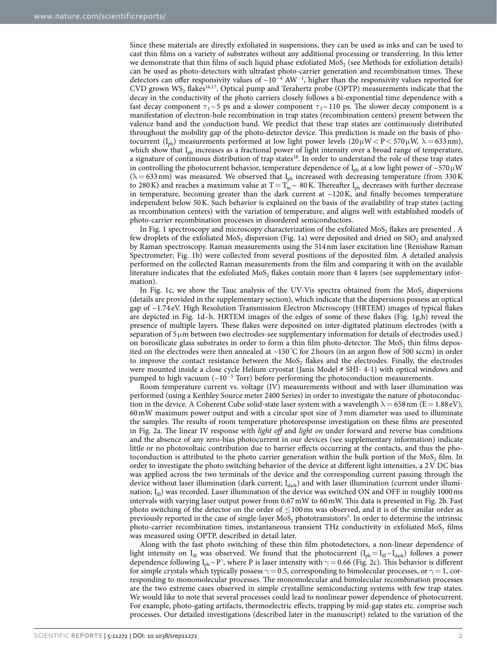Since these materials are directly exfoliated in suspensions, they can be used as inks and can be used to cast thin films on a variety of substrates without any additional processing or transferring. In this letter we demonstrate that thin films of such liquid phase exfoliated  $MoS<sub>2</sub>$  (see Methods for exfoliation details) can be used as photo-detectors with ultrafast photo-carrier generation and recombination times. These detectors can offer responsivity values of  $\sim 10^{-4}$  AW<sup>-1</sup>, higher than the responsivity values reported for CVD grown  $WS_2$  flakes<sup>[16](#page-7-1)[,17](#page-7-2)</sup>. Optical pump and Terahertz probe (OPTP) measurements indicate that the decay in the conductivity of the photo carriers closely follows a bi-exponential time dependence with a fast decay component  $\tau_1 \sim 5$  ps and a slower component  $\tau_2 \sim 110$  ps. The slower decay component is a manifestation of electron-hole recombination in trap states (recombination centers) present between the valence band and the conduction band. We predict that these trap states are continuously distributed throughout the mobility gap of the photo-detector device. This prediction is made on the basis of photocurrent (I<sub>ph</sub>) measurements performed at low light power levels  $(20 \mu W < P < 570 \mu W$ ,  $\lambda = 633 \text{ nm}$ ), which show that I<sub>ph</sub> increases as a fractional power of light intensity over a broad range of temperature, a signature of continuous distribution of trap states<sup>[18](#page-7-3)</sup>. In order to understand the role of these trap states in controlling the photocurrent behavior, temperature dependence of  $I_{ph}$  at a low light power of ~570 µ W  $(\lambda = 633 \text{ nm})$  was measured. We observed that I<sub>ph</sub> increased with decreasing temperature (from 330 K to 280 K) and reaches a maximum value at  $T = T_m^2 \sim 80$  K. Thereafter I<sub>ph</sub> decreases with further decrease in temperature, becoming greater than the dark current at  $\sim$ 120 K, and finally becomes temperature independent below 50 K. Such behavior is explained on the basis of the availability of trap states (acting as recombination centers) with the variation of temperature, and aligns well with established models of photo-carrier recombination processes in disordered semiconductors.

In [Fig. 1](#page-2-0) spectroscopy and microscopy characterization of the exfoliated  $\text{Mo}_2$  flakes are presented . A few droplets of the exfoliated MoS<sub>2</sub> dispersion [\(Fig. 1a](#page-2-0)) were deposited and dried on SiO<sub>2</sub> and analyzed by Raman spectroscopy. Raman measurements using the 514 nm laser excitation line (Renishaw Raman Spectrometer; [Fig. 1b](#page-2-0)) were collected from several positions of the deposited film. A detailed analysis performed on the collected Raman measurements from the film and comparing it with on the available literature indicates that the exfoliated  $\mathrm{Mo}_{2}$  flakes contain more than 4 layers (see supplementary information).

In Fig. 1c, we show the Tauc analysis of the UV-Vis spectra obtained from the  $MoS<sub>2</sub>$  dispersions (details are provided in the supplementary section), which indicate that the dispersions possess an optical gap of ~1.74 eV. High Resolution Transmission Electron Microscopy (HRTEM) images of typical flakes are depicted in [Fig. 1d–h](#page-2-0). HRTEM images of the edges of some of these flakes ([Fig. 1g,h\)](#page-2-0) reveal the presence of multiple layers. These flakes were deposited on inter-digitated platinum electrodes (with a separation of 5  $\mu$ m between two electrodes-see supplementary information for details of electrodes used.) on borosilicate glass substrates in order to form a thin film photo-detector. The  $MoS<sub>2</sub>$  thin films deposited on the electrodes were then annealed at  $\sim$ 150 °C for 2 hours (in an argon flow of 500 sccm) in order to improve the contact resistance between the  $MoS<sub>2</sub>$  flakes and the electrodes. Finally, the electrodes were mounted inside a close cycle Helium cryostat (Janis Model # SHI- 4-1) with optical windows and pumped to high vacuum (~10<sup>-5</sup> Torr) before performing the photoconduction measurements.

Room temperature current vs. voltage (IV) measurements without and with laser illumination was performed (using a Keithley Source meter 2400 Series) in order to investigate the nature of photoconduction in the device. A Coherent Cube solid-state laser system with a wavelength  $\lambda = 658$  nm (E = 1.88 eV), 60 mW maximum power output and with a circular spot size of 3 mm diameter was used to illuminate the samples. The results of room temperature photoresponse investigation on these films are presented in [Fig. 2a](#page-3-0). The linear IV response with light off and light on under forward and reverse bias conditions and the absence of any zero-bias photocurrent in our devices (see supplementary information) indicate little or no photovoltaic contribution due to barrier effects occurring at the contacts, and thus the photoconduction is attributed to the photo carrier generation within the bulk portion of the  $\text{Mo}_2$  film. In order to investigate the photo switching behavior of the device at different light intensities, a 2 V DC bias was applied across the two terminals of the device and the corresponding current passing through the device without laser illumination (dark current;  $I_{dark}$ ) and with laser illumination (current under illumination; I<sub>ill</sub>) was recorded. Laser illumination of the device was switched ON and OFF in roughly 1000 ms intervals with varying laser output power from 0.67 mW to 60 mW. This data is presented in [Fig. 2b.](#page-3-0) Fast photo switching of the detector on the order of ≤ 100 ms was observed, and it is of the similar order as previously reported in the case of single-layer  $MoS_2$  phototransistors<sup>[5](#page-6-3)</sup>. In order to determine the intrinsic photo-carrier recombination times, instantaneous transient THz conductivity in exfoliated  $\text{Mo}_{2}$  films was measured using OPTP, described in detail later.

Along with the fast photo switching of these thin film photodetectors, a non-linear dependence of light intensity on  $I_{ill}$  was observed. We found that the photocurrent  $(I_{ph} = I_{ill} - I_{dark})$  follows a power dependence following  $I_{ph} \sim P^{\gamma}$ , where P is laser intensity with  $\gamma = 0.66$  [\(Fig. 2c\)](#page-3-0). This behavior is different for simple crystals which typically possess  $\gamma = 0.5$ , corresponding to bimolecular processes, or  $\gamma = 1$ , corresponding to monomolecular processes. The monomolecular and bimolecular recombination processes are the two extreme cases observed in simple crystalline semiconducting systems with few trap states. We would like to note that several processes could lead to nonlinear power dependence of photocurrent. For example, photo-gating artifacts, thermoelectric effects, trapping by mid-gap states etc. comprise such processes. Our detailed investigations (described later in the manuscript) related to the variation of the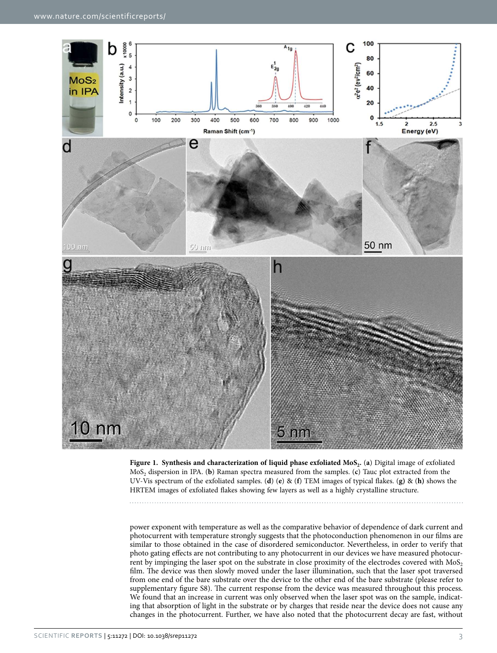

<span id="page-2-0"></span>**Figure 1. Synthesis and characterization of liquid phase exfoliated MoS<sup>2</sup> .** (**a**) Digital image of exfoliated MoS<sup>2</sup> dispersion in IPA. (**b**) Raman spectra measured from the samples. (**c**) Tauc plot extracted from the UV-Vis spectrum of the exfoliated samples. (**d**) (**e**) & (**f**) TEM images of typical flakes. (**g)** & (**h)** shows the HRTEM images of exfoliated flakes showing few layers as well as a highly crystalline structure.

power exponent with temperature as well as the comparative behavior of dependence of dark current and photocurrent with temperature strongly suggests that the photoconduction phenomenon in our films are similar to those obtained in the case of disordered semiconductor. Nevertheless, in order to verify that photo gating effects are not contributing to any photocurrent in our devices we have measured photocurrent by impinging the laser spot on the substrate in close proximity of the electrodes covered with  $MoS<sub>2</sub>$ film. The device was then slowly moved under the laser illumination, such that the laser spot traversed from one end of the bare substrate over the device to the other end of the bare substrate (please refer to supplementary figure S8). The current response from the device was measured throughout this process. We found that an increase in current was only observed when the laser spot was on the sample, indicating that absorption of light in the substrate or by charges that reside near the device does not cause any changes in the photocurrent. Further, we have also noted that the photocurrent decay are fast, without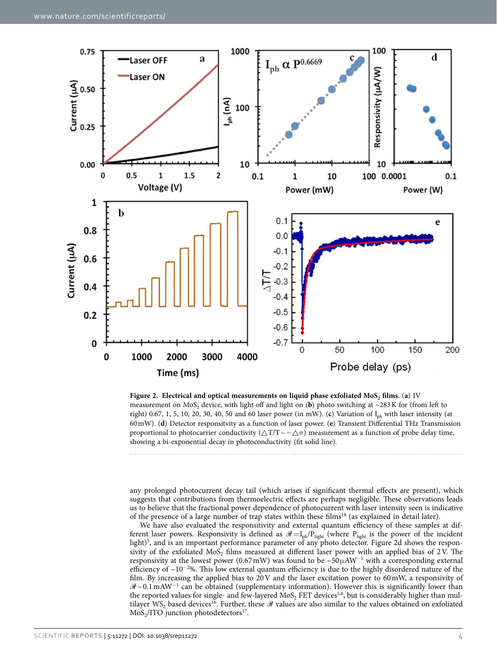

<span id="page-3-0"></span>

any prolonged photocurrent decay tail (which arises if significant thermal effects are present), which suggests that contributions from thermoelectric effects are perhaps negligible. These observations leads us to believe that the fractional power dependence of photocurrent with laser intensity seen is indicative of the presence of a large number of trap states within these films[18](#page-7-3) (as explained in detail later).

We have also evaluated the responsitivity and external quantum efficiency of these samples at different laser powers. Responsivity is defined as  $\mathscr{R} = I_{ph}/P_{light}$  (where  $P_{light}$  is the power of the incident light)<sup>[5](#page-6-3)</sup>, and is an important performance parameter of any photo detector. [Figure 2d](#page-3-0) shows the responsivity of the exfoliated  $\text{Mo}_2$  films measured at different laser power with an applied bias of 2V. The responsivity at the lowest power (0.67 mW) was found to be ~50 $\mu$ AW<sup>-1</sup> with a corresponding external efficiency of ~10<sup>−</sup><sup>2</sup>%. This low external quantum efficiency is due to the highly disordered nature of the film. By increasing the applied bias to  $20V$  and the laser excitation power to  $60 \text{ mW}$ , a responsivity of R ~ 0.1 mAW<sup>−</sup><sup>1</sup> can be obtained (supplementary information). However this is significantly lower than the reported values for single- and few-layered  $\mathrm{MoS}_{2}$  FET devices<sup>[5](#page-6-3)[,6](#page-6-4)</sup>, but is considerably higher than mul-tilayer WS<sub>2</sub> based devices<sup>[16](#page-7-1)</sup>. Further, these  $\Re$  values are also similar to the values obtained on exfoliated  $MoS<sub>2</sub>/ITO$  junction photodetectors<sup>[17](#page-7-2)</sup>.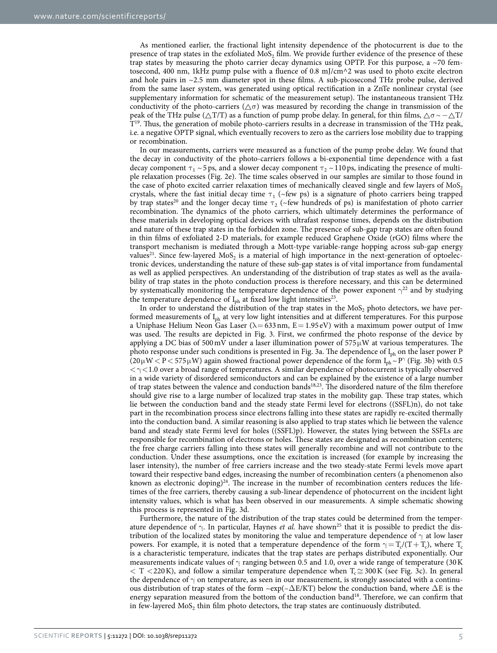As mentioned earlier, the fractional light intensity dependence of the photocurrent is due to the presence of trap states in the exfoliated  $MoS<sub>2</sub>$  film. We provide further evidence of the presence of these trap states by measuring the photo carrier decay dynamics using OPTP. For this purpose, a  $\sim$  70 femtosecond, 400 nm, 1kHz pump pulse with a fluence of 0.8 mJ/cm^2 was used to photo excite electron and hole pairs in  $\sim$ 2.5 mm diameter spot in these films. A sub-picosecond THz probe pulse, derived from the same laser system, was generated using optical rectification in a ZnTe nonlinear crystal (see supplementary information for schematic of the measurement setup). The instantaneous transient THz conductivity of the photo-carriers ( $\wedge \sigma$ ) was measured by recording the change in transmission of the peak of the THz pulse ( $\triangle T/T$ ) as a function of pump probe delay. In general, for thin films,  $\triangle \sigma \sim -\triangle T/$ T [19](#page-7-4). Thus, the generation of mobile photo-carriers results in a decrease in transmission of the THz peak, i.e. a negative OPTP signal, which eventually recovers to zero as the carriers lose mobility due to trapping or recombination.

In our measurements, carriers were measured as a function of the pump probe delay. We found that the decay in conductivity of the photo-carriers follows a bi-exponential time dependence with a fast decay component  $\tau_1 \sim 5 \text{ ps}$ , and a slower decay component  $\tau_2 \sim 110 \text{ ps}$ , indicating the presence of multiple relaxation processes [\(Fig. 2e\)](#page-3-0). The time scales observed in our samples are similar to those found in the case of photo excited carrier relaxation times of mechanically cleaved single and few layers of  $M$ oS<sub>2</sub> crystals, where the fast initial decay time  $\tau_1$  ( $\sim$ few ps) is a signature of photo carriers being trapped by trap states<sup>[20](#page-7-5)</sup> and the longer decay time  $\tau_2$  (~few hundreds of ps) is manifestation of photo carrier recombination. The dynamics of the photo carriers, which ultimately determines the performance of these materials in developing optical devices with ultrafast response times, depends on the distribution and nature of these trap states in the forbidden zone. The presence of sub-gap trap states are often found in thin films of exfoliated 2-D materials, for example reduced Graphene Oxide (rGO) films where the transport mechanism is mediated through a Mott-type variable-range hopping across sub-gap energy values<sup>[21](#page-7-6)</sup>. Since few-layered  $MoS_2$  is a material of high importance in the next-generation of optoelectronic devices, understanding the nature of these sub-gap states is of vital importance from fundamental as well as applied perspectives. An understanding of the distribution of trap states as well as the availability of trap states in the photo conduction process is therefore necessary, and this can be determined by systematically monitoring the temperature dependence of the power exponent  $\gamma^{22}$  $\gamma^{22}$  $\gamma^{22}$  and by studying the temperature dependence of  $I_{ph}$  at fixed low light intensities<sup>[23](#page-7-8)</sup>.

In order to understand the distribution of the trap states in the  $\mathrm{Mo}_{2}$  photo detectors, we have performed measurements of I<sub>ph</sub> at very low light intensities and at different temperatures. For this purpose a Uniphase Helium Neon Gas Laser ( $\lambda = 633$  nm,  $E = 1.95$  eV) with a maximum power output of 1mw was used. The results are depicted in [Fig. 3](#page-5-0). First, we confirmed the photo response of the device by applying a DC bias of 500 mV under a laser illumination power of  $575 \mu W$  at various temperatures. The photo response under such conditions is presented in [Fig. 3a](#page-5-0). The dependence of  $I_{ph}$  on the laser power P  $(20 \,\mu W < P < 575 \,\mu W)$  again showed fractional power dependence of the form  $I_{ph} \sim P^{\gamma}$  [\(Fig. 3b\)](#page-5-0) with 0.5  $\langle \gamma \langle 1.0 \rangle$  over a broad range of temperatures. A similar dependence of photocurrent is typically observed in a wide variety of disordered semiconductors and can be explained by the existence of a large number of trap states between the valence and conduction bands<sup>[18](#page-7-3),[23](#page-7-8)</sup>. The disordered nature of the film therefore should give rise to a large number of localized trap states in the mobility gap. These trap states, which lie between the conduction band and the steady state Fermi level for electrons ((SSFL)n), do not take part in the recombination process since electrons falling into these states are rapidly re-excited thermally into the conduction band. A similar reasoning is also applied to trap states which lie between the valence band and steady state Fermi level for holes ((SSFL)p). However, the states lying between the SSFLs are responsible for recombination of electrons or holes. These states are designated as recombination centers; the free charge carriers falling into these states will generally recombine and will not contribute to the conduction. Under these assumptions, once the excitation is increased (for example by increasing the laser intensity), the number of free carriers increase and the two steady-state Fermi levels move apart toward their respective band edges, increasing the number of recombination centers (a phenomenon also known as electronic doping)<sup>[24](#page-7-9)</sup>. The increase in the number of recombination centers reduces the lifetimes of the free carriers, thereby causing a sub-linear dependence of photocurrent on the incident light intensity values, which is what has been observed in our measurements. A simple schematic showing this process is represented in [Fig. 3d](#page-5-0).

Furthermore, the nature of the distribution of the trap states could be determined from the temperature dependence of  $\gamma$ . In particular, Haynes *et al.* have shown<sup>[25](#page-7-10)</sup> that it is possible to predict the distribution of the localized states by monitoring the value and temperature dependence of  $\gamma$  at low laser powers. For example, it is noted that a temperature dependence of the form  $\gamma = T_c/(T + T_c)$ , where  $T_c$ is a characteristic temperature, indicates that the trap states are perhaps distributed exponentially. Our measurements indicate values of  $\gamma$  ranging between 0.5 and 1.0, over a wide range of temperature (30 K  $\tau$  < T < 220 K), and follow a similar temperature dependence when  $T_c \approx 300 \text{ K}$  (see Fig. 3c). In general the dependence of  $\gamma$  on temperature, as seen in our measurement, is strongly associated with a continuous distribution of trap states of the form ~exp(– $\Delta E/KT$ ) below the conduction band, where  $\Delta E$  is the energy separation measured from the bottom of the conduction band<sup>[18](#page-7-3)</sup>. Therefore, we can confirm that in few-layered  $\text{MoS}_2$  thin film photo detectors, the trap states are continuously distributed.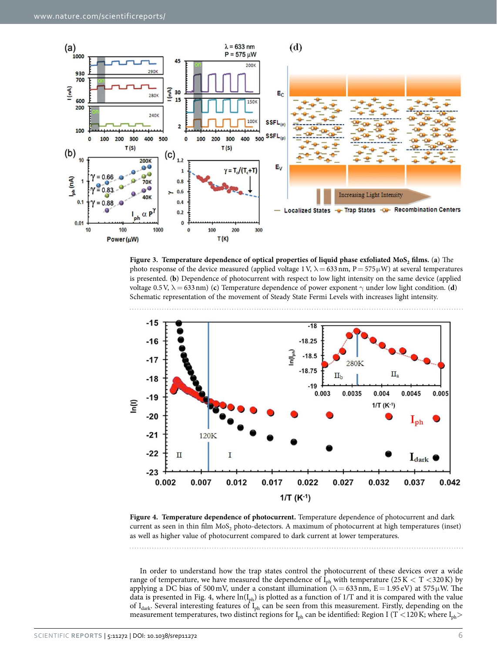

<span id="page-5-0"></span>**Figure 3. Temperature dependence of optical properties of liquid phase exfoliated MoS<sup>2</sup> films.** (**a**) The photo response of the device measured (applied voltage 1 V,  $\lambda = 633$  nm, P = 575  $\mu$ W) at several temperatures is presented. (**b**) Dependence of photocurrent with respect to low light intensity on the same device (applied voltage 0.5 V,  $\lambda = 633 \text{ nm}$ ) (**c**) Temperature dependence of power exponent  $\gamma$  under low light condition. (**d**) Schematic representation of the movement of Steady State Fermi Levels with increases light intensity.



<span id="page-5-1"></span>**Figure 4. Temperature dependence of photocurrent.** Temperature dependence of photocurrent and dark current as seen in thin film  $Mo_{2}$  photo-detectors. A maximum of photocurrent at high temperatures (inset) as well as higher value of photocurrent compared to dark current at lower temperatures.

In order to understand how the trap states control the photocurrent of these devices over a wide range of temperature, we have measured the dependence of  $I_{ph}$  with temperature (25 K < T < 320 K) by applying a DC bias of 500 mV, under a constant illumination ( $\lambda = 633$  nm,  $E = 1.95$  eV) at 575 µW. The data is presented in [Fig. 4,](#page-5-1) where  $ln(I_{ph})$  is plotted as a function of 1/T and it is compared with the value of  $I_{\text{dark}}$ . Several interesting features of  $I_{\text{ph}}$  can be seen from this measurement. Firstly, depending on the measurement temperatures, two distinct regions for  $I_{ph}$  can be identified: Region I (T < 120 K; where  $I_{ph}$ )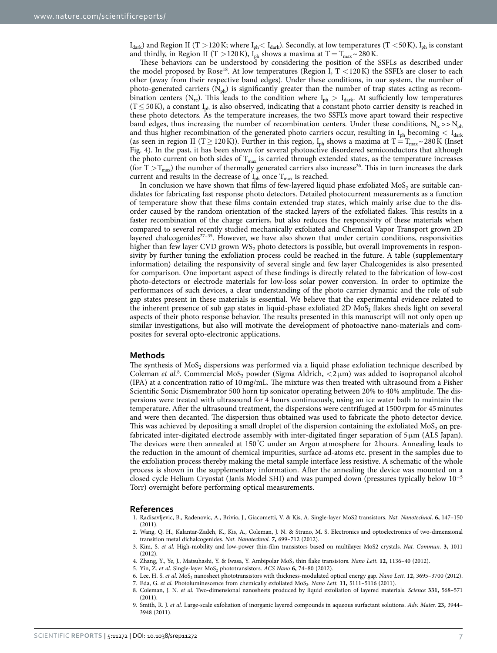$I_{\text{dark}}$ ) and Region II (T > 120 K; where  $I_{\text{ph}} < I_{\text{dark}}$ ). Secondly, at low temperatures (T < 50 K),  $I_{\text{ph}}$  is constant and thirdly, in Region II (T > 120 K),  $I_{ph}$  shows a maxima at T = T<sub>max</sub> ~ 280 K.

These behaviors can be understood by considering the position of the SSFLs as described under the model proposed by Rose<sup>[18](#page-7-3)</sup>. At low temperatures (Region I,  $T < 120 K$ ) the SSFL's are closer to each other (away from their respective band edges). Under these conditions, in our system, the number of photo-generated carriers  $(N_{ph})$  is significantly greater than the number of trap states acting as recombination centers (N<sub>rc</sub>). This leads to the condition where  $I_{ph} > I_{dark}$ . At sufficiently low temperatures  $(T \le 50 \text{ K})$ , a constant I<sub>ph</sub> is also observed, indicating that a constant photo carrier density is reached in these photo detectors. As the temperature increases, the two SSFL's move apart toward their respective band edges, thus increasing the number of recombination centers. Under these conditions,  $N_{rc} >> N_{ph}$ and thus higher recombination of the generated photo carriers occur, resulting in  $I_{ph}$  becoming  $I_{dark}$ (as seen in region II (T  $\geq$  120 K)). Further in this region, I<sub>ph</sub> shows a maxima at T = T<sub>max</sub> ~ 280 K (Inset [Fig. 4](#page-5-1)). In the past, it has been shown for several photoactive disordered semiconductors that although the photo current on both sides of  $T_{\text{max}}$  is carried through extended states, as the temperature increases (for  $T > T<sub>max</sub>$ ) the number of thermally generated carriers also increase<sup>[26](#page-7-11)</sup>. This in turn increases the dark current and results in the decrease of  $I_{ph}$  once  $T_{max}$  is reached.

In conclusion we have shown that films of few-layered liquid phase exfoliated  $\mathrm{Mo}_{2}$  are suitable candidates for fabricating fast response photo detectors. Detailed photocurrent measurements as a function of temperature show that these films contain extended trap states, which mainly arise due to the disorder caused by the random orientation of the stacked layers of the exfoliated flakes. This results in a faster recombination of the charge carriers, but also reduces the responsivity of these materials when compared to several recently studied mechanically exfoliated and Chemical Vapor Transport grown 2D layered chalcogenides<sup>27-35</sup>. However, we have also shown that under certain conditions, responsivities higher than few layer CVD grown WS<sub>2</sub> photo detectors is possible, but overall improvements in responsivity by further tuning the exfoliation process could be reached in the future. A table (supplementary information) detailing the responsivity of several single and few layer Chalcogenides is also presented for comparison. One important aspect of these findings is directly related to the fabrication of low-cost photo-detectors or electrode materials for low-loss solar power conversion. In order to optimize the performances of such devices, a clear understanding of the photo carrier dynamic and the role of sub gap states present in these materials is essential. We believe that the experimental evidence related to the inherent presence of sub gap states in liquid-phase exfoliated 2D MoS<sub>2</sub> flakes sheds light on several aspects of their photo response behavior. The results presented in this manuscript will not only open up similar investigations, but also will motivate the development of photoactive nano-materials and composites for several opto-electronic applications.

#### **Methods**

The synthesis of  $MoS<sub>2</sub>$  dispersions was performed via a liquid phase exfoliation technique described by Coleman et al.<sup>[8](#page-6-5)</sup>. Commercial MoS<sub>2</sub> powder (Sigma Aldrich,  $\langle 2\mu m \rangle$  was added to isopropanol alcohol (IPA) at a concentration ratio of 10 mg/mL. The mixture was then treated with ultrasound from a Fisher Scientific Sonic Dismembrator 500 horn tip sonicator operating between 20% to 40% amplitude. The dispersions were treated with ultrasound for 4 hours continuously, using an ice water bath to maintain the temperature. After the ultrasound treatment, the dispersions were centrifuged at 1500 rpm for 45 minutes and were then decanted. The dispersion thus obtained was used to fabricate the photo detector device. This was achieved by depositing a small droplet of the dispersion containing the exfoliated  $\text{MoS}_2$  on prefabricated inter-digitated electrode assembly with inter-digitated finger separation of  $5 \mu m$  (ALS Japan). The devices were then annealed at 150 °C under an Argon atmosphere for 2 hours. Annealing leads to the reduction in the amount of chemical impurities, surface ad-atoms etc. present in the samples due to the exfoliation process thereby making the metal sample interface less resistive. A schematic of the whole process is shown in the supplementary information. After the annealing the device was mounted on a closed cycle Helium Cryostat (Janis Model SHI) and was pumped down (pressures typically below 10<sup>−</sup><sup>5</sup> Torr) overnight before performing optical measurements.

#### **References**

- <span id="page-6-0"></span>1. Radisavljevic, B., Radenovic, A., Brivio, J., Giacometti, V. & Kis, A. Single-layer MoS2 transistors. Nat. Nanotechnol. **6,** 147–150 (2011).
- <span id="page-6-1"></span>2. Wang, Q. H., Kalantar-Zadeh, K., Kis, A., Coleman, J. N. & Strano, M. S. Electronics and optoelectronics of two-dimensional transition metal dichalcogenides. Nat. Nanotechnol. **7,** 699–712 (2012).
- <span id="page-6-2"></span>3. Kim, S. et al. High-mobility and low-power thin-film transistors based on multilayer MoS2 crystals. Nat. Commun. **3,** 1011 (2012).
- 4. Zhang, Y., Ye, J., Matsuhashi, Y. & Iwasa, Y. Ambipolar MoS<sub>2</sub> thin flake transistors. Nano Lett. **12,** 1136–40 (2012).
- <span id="page-6-3"></span>5. Yin, Z. *et al.* Single-layer MoS<sub>2</sub> phototransistors. ACS Nano **6,** 74–80 (2012).
- <span id="page-6-4"></span>6. Lee, H. S. et al. MoS<sub>2</sub> nanosheet phototransistors with thickness-modulated optical energy gap. Nano Lett. 12, 3695-3700 (2012).
- <span id="page-6-5"></span>7. Eda, G. et al. Photoluminescence from chemically exfoliated MoS<sub>2</sub>. Nano Lett. **11**, 5111-5116 (2011). 8. Coleman, J. N. et al. Two-dimensional nanosheets produced by liquid exfoliation of layered materials. Science **331,** 568–571
- (2011).
- 9. Smith, R. J. et al. Large-scale exfoliation of inorganic layered compounds in aqueous surfactant solutions. Adv. Mater. **23,** 3944– 3948 (2011).